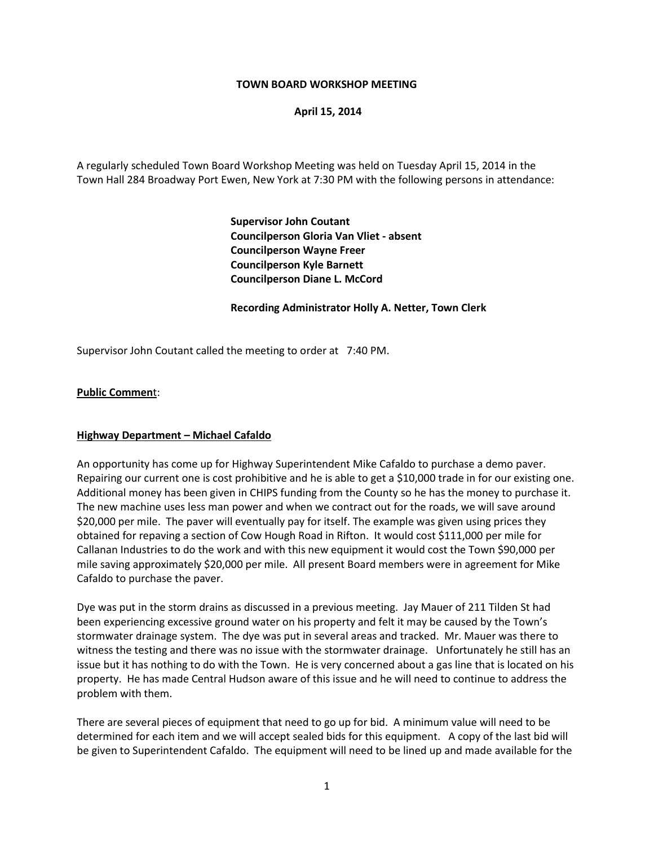### **TOWN BOARD WORKSHOP MEETING**

### **April 15, 2014**

A regularly scheduled Town Board Workshop Meeting was held on Tuesday April 15, 2014 in the Town Hall 284 Broadway Port Ewen, New York at 7:30 PM with the following persons in attendance:

> **Supervisor John Coutant Councilperson Gloria Van Vliet - absent Councilperson Wayne Freer Councilperson Kyle Barnett Councilperson Diane L. McCord**

### **Recording Administrator Holly A. Netter, Town Clerk**

Supervisor John Coutant called the meeting to order at 7:40 PM.

### **Public Commen**t:

#### **Highway Department – Michael Cafaldo**

An opportunity has come up for Highway Superintendent Mike Cafaldo to purchase a demo paver. Repairing our current one is cost prohibitive and he is able to get a \$10,000 trade in for our existing one. Additional money has been given in CHIPS funding from the County so he has the money to purchase it. The new machine uses less man power and when we contract out for the roads, we will save around \$20,000 per mile. The paver will eventually pay for itself. The example was given using prices they obtained for repaving a section of Cow Hough Road in Rifton. It would cost \$111,000 per mile for Callanan Industries to do the work and with this new equipment it would cost the Town \$90,000 per mile saving approximately \$20,000 per mile. All present Board members were in agreement for Mike Cafaldo to purchase the paver.

Dye was put in the storm drains as discussed in a previous meeting. Jay Mauer of 211 Tilden St had been experiencing excessive ground water on his property and felt it may be caused by the Town's stormwater drainage system. The dye was put in several areas and tracked. Mr. Mauer was there to witness the testing and there was no issue with the stormwater drainage. Unfortunately he still has an issue but it has nothing to do with the Town. He is very concerned about a gas line that is located on his property. He has made Central Hudson aware of this issue and he will need to continue to address the problem with them.

There are several pieces of equipment that need to go up for bid. A minimum value will need to be determined for each item and we will accept sealed bids for this equipment. A copy of the last bid will be given to Superintendent Cafaldo. The equipment will need to be lined up and made available for the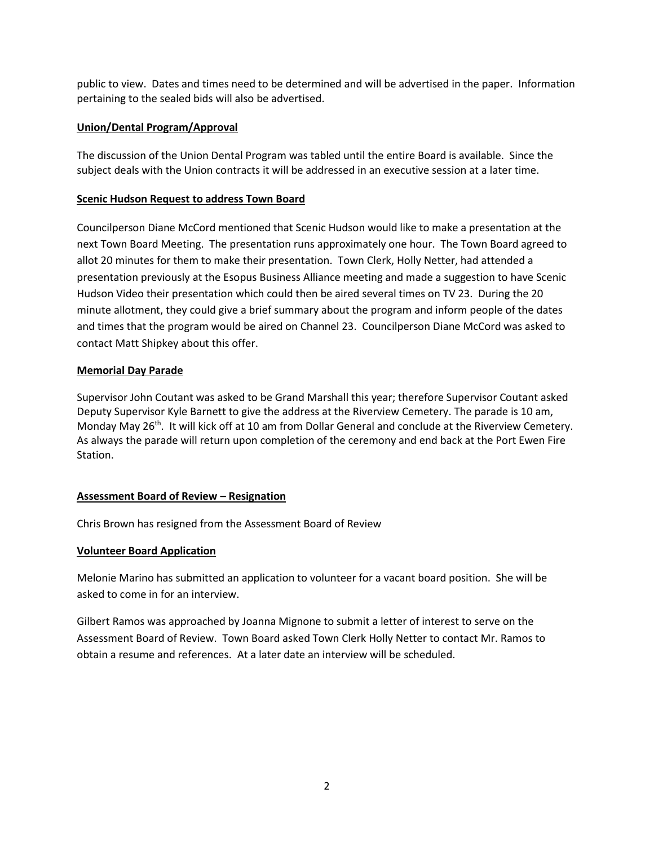public to view. Dates and times need to be determined and will be advertised in the paper. Information pertaining to the sealed bids will also be advertised.

# **Union/Dental Program/Approval**

The discussion of the Union Dental Program was tabled until the entire Board is available. Since the subject deals with the Union contracts it will be addressed in an executive session at a later time.

# **Scenic Hudson Request to address Town Board**

Councilperson Diane McCord mentioned that Scenic Hudson would like to make a presentation at the next Town Board Meeting. The presentation runs approximately one hour. The Town Board agreed to allot 20 minutes for them to make their presentation. Town Clerk, Holly Netter, had attended a presentation previously at the Esopus Business Alliance meeting and made a suggestion to have Scenic Hudson Video their presentation which could then be aired several times on TV 23. During the 20 minute allotment, they could give a brief summary about the program and inform people of the dates and times that the program would be aired on Channel 23. Councilperson Diane McCord was asked to contact Matt Shipkey about this offer.

# **Memorial Day Parade**

Supervisor John Coutant was asked to be Grand Marshall this year; therefore Supervisor Coutant asked Deputy Supervisor Kyle Barnett to give the address at the Riverview Cemetery. The parade is 10 am, Monday May 26<sup>th</sup>. It will kick off at 10 am from Dollar General and conclude at the Riverview Cemetery. As always the parade will return upon completion of the ceremony and end back at the Port Ewen Fire Station.

# **Assessment Board of Review – Resignation**

Chris Brown has resigned from the Assessment Board of Review

## **Volunteer Board Application**

Melonie Marino has submitted an application to volunteer for a vacant board position. She will be asked to come in for an interview.

Gilbert Ramos was approached by Joanna Mignone to submit a letter of interest to serve on the Assessment Board of Review. Town Board asked Town Clerk Holly Netter to contact Mr. Ramos to obtain a resume and references. At a later date an interview will be scheduled.